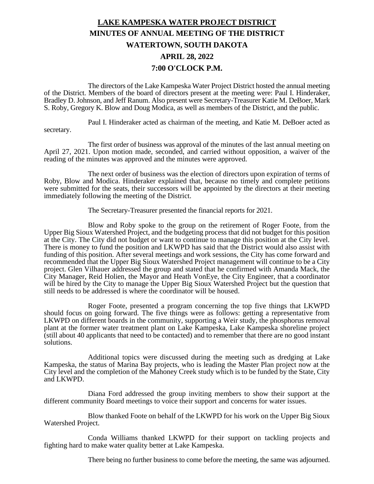## **LAKE KAMPESKA WATER PROJECT DISTRICT MINUTES OF ANNUAL MEETING OF THE DISTRICT WATERTOWN, SOUTH DAKOTA APRIL 28, 2022 7:00 O'CLOCK P.M.**

The directors of the Lake Kampeska Water Project District hosted the annual meeting of the District. Members of the board of directors present at the meeting were: Paul I. Hinderaker, Bradley D. Johnson, and Jeff Ranum. Also present were Secretary-Treasurer Katie M. DeBoer, Mark S. Roby, Gregory K. Blow and Doug Modica, as well as members of the District, and the public.

Paul I. Hinderaker acted as chairman of the meeting, and Katie M. DeBoer acted as secretary.

The first order of business was approval of the minutes of the last annual meeting on April 27, 2021. Upon motion made, seconded, and carried without opposition, a waiver of the reading of the minutes was approved and the minutes were approved.

The next order of business was the election of directors upon expiration of terms of Roby, Blow and Modica. Hinderaker explained that, because no timely and complete petitions were submitted for the seats, their successors will be appointed by the directors at their meeting immediately following the meeting of the District.

The Secretary-Treasurer presented the financial reports for 2021.

Blow and Roby spoke to the group on the retirement of Roger Foote, from the Upper Big Sioux Watershed Project, and the budgeting process that did not budget for this position at the City. The City did not budget or want to continue to manage this position at the City level. There is money to fund the position and LKWPD has said that the District would also assist with funding of this position. After several meetings and work sessions, the City has come forward and recommended that the Upper Big Sioux Watershed Project management will continue to be a City project. Glen Vilhauer addressed the group and stated that he confirmed with Amanda Mack, the City Manager, Reid Holien, the Mayor and Heath VonEye, the City Engineer, that a coordinator will be hired by the City to manage the Upper Big Sioux Watershed Project but the question that still needs to be addressed is where the coordinator will be housed.

Roger Foote, presented a program concerning the top five things that LKWPD should focus on going forward. The five things were as follows: getting a representative from LKWPD on different boards in the community, supporting a Weir study, the phosphorus removal plant at the former water treatment plant on Lake Kampeska, Lake Kampeska shoreline project (still about 40 applicants that need to be contacted) and to remember that there are no good instant solutions.

Additional topics were discussed during the meeting such as dredging at Lake Kampeska, the status of Marina Bay projects, who is leading the Master Plan project now at the City level and the completion of the Mahoney Creek study which is to be funded by the State, City and LKWPD.

Diana Ford addressed the group inviting members to show their support at the different community Board meetings to voice their support and concerns for water issues.

Blow thanked Foote on behalf of the LKWPD for his work on the Upper Big Sioux Watershed Project.

Conda Williams thanked LKWPD for their support on tackling projects and fighting hard to make water quality better at Lake Kampeska.

There being no further business to come before the meeting, the same was adjourned.